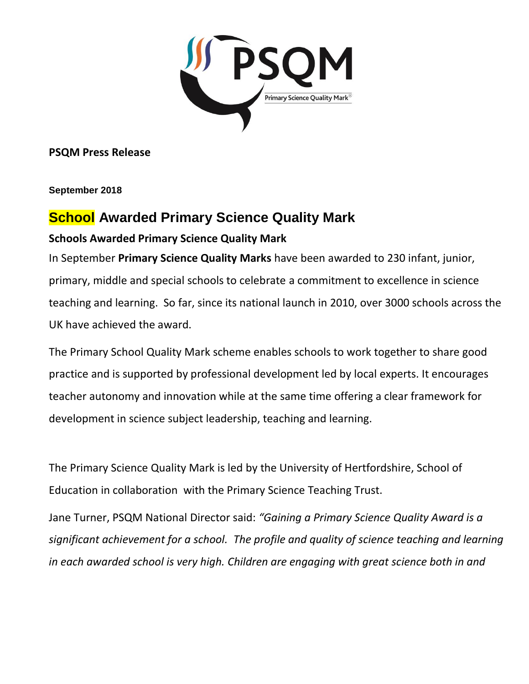

**PSQM Press Release**

**September 2018**

## **School Awarded Primary Science Quality Mark Schools Awarded Primary Science Quality Mark**

In September **Primary Science Quality Marks** have been awarded to 230 infant, junior, primary, middle and special schools to celebrate a commitment to excellence in science teaching and learning. So far, since its national launch in 2010, over 3000 schools across the UK have achieved the award.

The Primary School Quality Mark scheme enables schools to work together to share good practice and is supported by professional development led by local experts. It encourages teacher autonomy and innovation while at the same time offering a clear framework for development in science subject leadership, teaching and learning.

The Primary Science Quality Mark is led by the University of Hertfordshire, School of Education in collaboration with the Primary Science Teaching Trust.

Jane Turner, PSQM National Director said: *"Gaining a Primary Science Quality Award is a significant achievement for a school. The profile and quality of science teaching and learning in each awarded school is very high. Children are engaging with great science both in and*